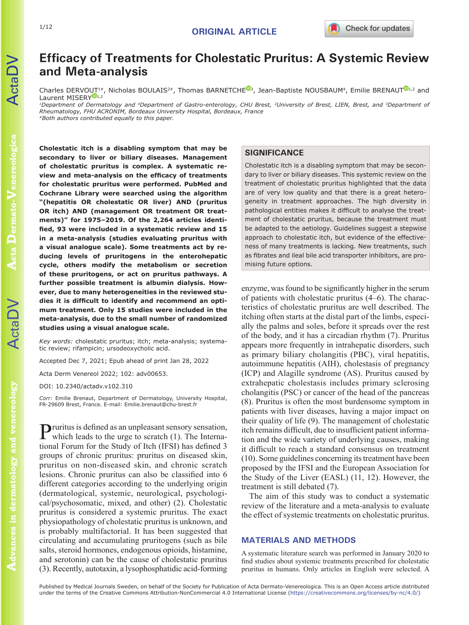# **Efficacy of Treatments for Cholestatic Pruritus: A Systemic Review and Meta-analysis**

Charles DERVOUT<sup>1#</sup>, Nicholas BOULAIS<sup>2#</sup>, Thomas BARNETCHE<sup>®[3](https://orcid.org/0000-0002-0975-8534)</sup>, Jean-Baptiste NOUSBAUM<sup>4</sup>, Emilie BRENAUT<sup>®1,2</sup> and Laurent MISERY<sup>D[1](https://orcid.org/0000-0001-8088-7059),2</sup>

*1Department of Dermatology and 4Department of Gastro-enterology, CHU Brest, 2University of Brest, LIEN, Brest, and 3Department of Rheumatology, FHU ACRONIM, Bordeaux University Hospital, Bordeaux, France #Both authors contributed equally to this paper.*

ActaDV

**Cholestatic itch is a disabling symptom that may be secondary to liver or biliary diseases. Management of cholestatic pruritus is complex. A systematic review and meta-analysis on the efficacy of treatments for cholestatic pruritus were performed. PubMed and Cochrane Library were searched using the algorithm "(hepatitis OR cholestatic OR liver) AND (pruritus**  OR itch) AND (management OR treatment OR treat**ments)" for 1975–2019. Of the 2,264 articles identified, 93 were included in a systematic review and 15 in a meta-analysis (studies evaluating pruritus with a visual analogue scale). Some treatments act by reducing levels of pruritogens in the enterohepatic cycle, others modify the metabolism or secretion of these pruritogens, or act on pruritus pathways. A further possible treatment is albumin dialysis. However, due to many heterogeneities in the reviewed studies it is difficult to identify and recommend an optimum treatment. Only 15 studies were included in the meta-analysis, due to the small number of randomized studies using a visual analogue scale.**

*Key words:* cholestatic pruritus; itch; meta-analysis; systematic review; rifampicin; ursodeoxycholic acid.

Accepted Dec 7, 2021; Epub ahead of print Jan 28, 2022

Acta Derm Venereol 2022; 102: adv00653.

DOI: 10.2340/actadv.v102.310

*Corr:* Emilie Brenaut, Department of Dermatology, University Hospital, FR-29609 Brest, France. E-mail: Emilie.brenaut@chu-brest.fr

**P**ruritus is defined as an unpleasant sensory sensation, which leads to the urge to scratch (1). The International Forum for the Study of Itch (IFSI) has defined 3 groups of chronic pruritus: pruritus on diseased skin, pruritus on non-diseased skin, and chronic scratch lesions. Chronic pruritus can also be classified into 6 different categories according to the underlying origin (dermatological, systemic, neurological, psychological/psychosomatic, mixed, and other) (2). Cholestatic pruritus is considered a systemic pruritus. The exact physiopathology of cholestatic pruritus is unknown, and is probably multifactorial. It has been suggested that circulating and accumulating pruritogens (such as bile salts, steroid hormones, endogenous opioids, histamine, and serotonin) can be the cause of cholestatic pruritus (3). Recently, autotaxin, a lysophosphatidic acid-forming

## **SIGNIFICANCE**

Cholestatic itch is a disabling symptom that may be secondary to liver or biliary diseases. This systemic review on the treatment of cholestatic pruritus highlighted that the data are of very low quality and that there is a great heterogeneity in treatment approaches. The high diversity in pathological entities makes it difficult to analyse the treatment of cholestatic pruritus, because the treatment must be adapted to the aetiology. Guidelines suggest a stepwise approach to cholestatic itch, but evidence of the effectiveness of many treatments is lacking. New treatments, such as fibrates and ileal bile acid transporter inhibitors, are promising future options.

enzyme, was found to be significantly higher in the serum of patients with cholestatic pruritus (4–6). The characteristics of cholestatic pruritus are well described. The itching often starts at the distal part of the limbs, especially the palms and soles, before it spreads over the rest of the body, and it has a circadian rhythm (7). Pruritus appears more frequently in intrahepatic disorders, such as primary biliary cholangitis (PBC), viral hepatitis, autoimmune hepatitis (AIH), cholestasis of pregnancy (ICP) and Alagille syndrome (AS). Pruritus caused by extrahepatic cholestasis includes primary sclerosing cholangitis (PSC) or cancer of the head of the pancreas (8). Pruritus is often the most burdensome symptom in patients with liver diseases, having a major impact on their quality of life (9). The management of cholestatic itch remains difficult, due to insufficient patient information and the wide variety of underlying causes, making it difficult to reach a standard consensus on treatment (10). Some guidelines concerning its treatment have been proposed by the IFSI and the European Association for the Study of the Liver (EASL) (11, 12). However, the treatment is still debated (7).

The aim of this study was to conduct a systematic review of the literature and a meta-analysis to evaluate the effect of systemic treatments on cholestatic pruritus.

#### **MATERIALS AND METHODS**

A systematic literature search was performed in January 2020 to find studies about systemic treatments prescribed for cholestatic pruritus in humans. Only articles in English were selected. A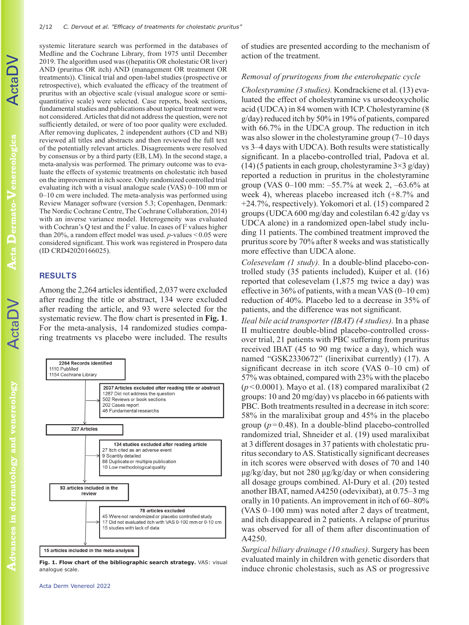systemic literature search was performed in the databases of Medline and the Cochrane Library, from 1975 until December 2019. The algorithm used was ((hepatitis OR cholestatic OR liver) AND (pruritus OR itch) AND (management OR treatment OR treatments)). Clinical trial and open-label studies (prospective or retrospective), which evaluated the efficacy of the treatment of pruritus with an objective scale (visual analogue score or semiquantitative scale) were selected. Case reports, book sections, fundamental studies and publications about topical treatment were not considered. Articles that did not address the question, were not sufficiently detailed, or were of too poor quality were excluded. After removing duplicates, 2 independent authors (CD and NB) reviewed all titles and abstracts and then reviewed the full text of the potentially relevant articles. Disagreements were resolved by consensus or by a third party (EB, LM). In the second stage, a meta-analysis was performed. The primary outcome was to evaluate the effects of systemic treatments on cholestatic itch based on the improvement in itch score. Only randomized controlled trial evaluating itch with a visual analogue scale (VAS) 0–100 mm or 0–10 cm were included. The meta-analysis was performed using Review Manager software (version 5.3; Copenhagen, Denmark: The Nordic Cochrane Centre, The Cochrane Collaboration, 2014) with an inverse variance model. Heterogeneity was evaluated with Cochran's Q test and the  $I^2$  value. In cases of  $I^2$  values higher than 20%, a random effect model was used. *p*-values <0.05 were considered significant. This work was registered in Prospero data (ID CRD42020166025).

## **RESULTS**

Among the 2,264 articles identified, 2,037 were excluded after reading the title or abstract, 134 were excluded after reading the article, and 93 were selected for the systematic review. The flow chart is presented in **Fig. 1**. For the meta-analysis, 14 randomized studies comparing treatments vs placebo were included. The results



**Fig. 1. Flow chart of the bibliographic search strategy.** VAS: visual analogue scale.

of studies are presented according to the mechanism of action of the treatment.

#### *Removal of pruritogens from the enterohepatic cycle*

*Cholestyramine (3 studies).* Kondrackiene et al. (13) evaluated the effect of cholestyramine vs ursodeoxycholic acid (UDCA) in 84 women with ICP. Cholestyramine (8 g/day) reduced itch by 50% in 19% of patients, compared with 66.7% in the UDCA group. The reduction in itch was also slower in the cholestyramine group (7–10 days vs 3–4 days with UDCA). Both results were statistically significant. In a placebo-controlled trial, Padova et al. (14) (5 patients in each group, cholestyramine  $3\times3$  g/day) reported a reduction in pruritus in the cholestyramine group (VAS 0–100 mm: –55.7% at week 2, –63.6% at week 4), whereas placebo increased itch (+8.7% and +24.7%, respectively). Yokomori et al. (15) compared 2 groups (UDCA 600 mg/day and colestilan 6.42 g/day vs UDCA alone) in a randomized open-label study including 11 patients. The combined treatment improved the pruritus score by 70% after 8 weeks and was statistically more effective than UDCA alone.

*Colesevelam (1 study).* In a double-blind placebo-controlled study (35 patients included), Kuiper et al. (16) reported that colesevelam (1,875 mg twice a day) was effective in 36% of patients, with a mean VAS (0–10 cm) reduction of 40%. Placebo led to a decrease in 35% of patients, and the difference was not significant.

*Ileal bile acid transporter (IBAT) (4 studies).* In a phase II multicentre double-blind placebo-controlled crossover trial, 21 patients with PBC suffering from pruritus received IBAT (45 to 90 mg twice a day), which was named "GSK2330672" (linerixibat currently) (17). A significant decrease in itch score (VAS 0–10 cm) of 57% was obtained, compared with 23% with the placebo  $(p<0.0001)$ . Mayo et al. (18) compared maralixibat (2) groups: 10 and 20 mg/day) vs placebo in 66 patients with PBC. Both treatments resulted in a decrease in itch score: 58% in the maralixibat group and 45% in the placebo group  $(p=0.48)$ . In a double-blind placebo-controlled randomized trial, Shneider et al. (19) used maralixibat at 3 different dosages in 37 patients with cholestatic pruritus secondary to AS. Statistically significant decreases in itch scores were observed with doses of 70 and 140 μg/kg/day, but not 280 μg/kg/day or when considering all dosage groups combined. Al-Dury et al. (20) tested another IBAT, named A4250 (odevixibat), at 0.75–3 mg orally in 10 patients. An improvement in itch of 60–80% (VAS 0–100 mm) was noted after 2 days of treatment, and itch disappeared in 2 patients. A relapse of pruritus was observed for all of them after discontinuation of A4250.

*Surgical biliary drainage (10 studies).* Surgery has been evaluated mainly in children with genetic disorders that induce chronic cholestasis, such as AS or progressive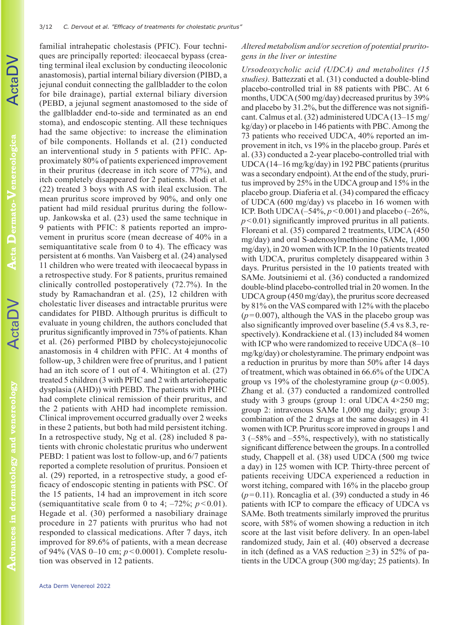familial intrahepatic cholestasis (PFIC). Four techniques are principally reported: ileocaecal bypass (creating terminal ileal exclusion by conducting ileocolonic anastomosis), partial internal biliary diversion (PIBD, a jejunal conduit connecting the gallbladder to the colon for bile drainage), partial external biliary diversion (PEBD, a jejunal segment anastomosed to the side of the gallbladder end-to-side and terminated as an end stoma), and endoscopic stenting. All these techniques had the same objective: to increase the elimination of bile components. Hollands et al. (21) conducted an interventional study in 5 patients with PFIC. Approximately 80% of patients experienced improvement in their pruritus (decrease in itch score of 77%), and itch completely disappeared for 2 patients. Modi et al. (22) treated 3 boys with AS with ileal exclusion. The mean pruritus score improved by 90%, and only one patient had mild residual pruritus during the followup. Jankowska et al. (23) used the same technique in 9 patients with PFIC: 8 patients reported an improvement in pruritus score (mean decrease of 40% in a semiquantitative scale from 0 to 4). The efficacy was persistent at 6 months. Van Vaisberg et al. (24) analysed 11 children who were treated with ileocaecal bypass in a retrospective study. For 8 patients, pruritus remained clinically controlled postoperatively (72.7%). In the study by Ramachandran et al. (25), 12 children with cholestatic liver diseases and intractable pruritus were candidates for PIBD. Although pruritus is difficult to evaluate in young children, the authors concluded that pruritus significantly improved in 75% of patients. Khan et al. (26) performed PIBD by cholecystojejunocolic anastomosis in 4 children with PFIC. At 4 months of follow-up, 3 children were free of pruritus, and 1 patient had an itch score of 1 out of 4. Whitington et al. (27) treated 5 children (3 with PFIC and 2 with arteriohepatic dysplasia (AHD)) with PEBD. The patients with PIHC had complete clinical remission of their pruritus, and the 2 patients with AHD had incomplete remission. Clinical improvement occurred gradually over 2 weeks in these 2 patients, but both had mild persistent itching. In a retrospective study, Ng et al. (28) included 8 patients with chronic cholestatic pruritus who underwent PEBD: 1 patient was lost to follow-up, and 6/7 patients reported a complete resolution of pruritus. Ponsioen et al. (29) reported, in a retrospective study, a good efficacy of endoscopic stenting in patients with PSC. Of the 15 patients, 14 had an improvement in itch score (semiquantitative scale from 0 to 4;  $-72\%$ ;  $p < 0.01$ ). Hegade et al. (30) performed a nasobiliary drainage procedure in 27 patients with pruritus who had not responded to classical medications. After 7 days, itch improved for 89.6% of patients, with a mean decrease

# *Altered metabolism and/or secretion of potential pruritogens in the liver or intestine*

*Ursodeoxycholic acid (UDCA) and metabolites (15 studies).* Battezzati et al. (31) conducted a double-blind placebo-controlled trial in 88 patients with PBC. At 6 months, UDCA (500 mg/day) decreased pruritus by 39% and placebo by 31.2%, but the difference was not significant. Calmus et al. (32) administered UDCA (13–15 mg/ kg/day) or placebo in 146 patients with PBC. Among the 73 patients who received UDCA, 40% reported an improvement in itch, vs 19% in the placebo group. Parés et al. (33) conducted a 2-year placebo-controlled trial with UDCA (14–16 mg/kg/day) in 192 PBC patients (pruritus was a secondary endpoint). At the end of the study, pruritus improved by 25% in the UDCA group and 15% in the placebo group. Diaferia et al. (34) compared the efficacy of UDCA (600 mg/day) vs placebo in 16 women with ICP. Both UDCA ( $-54\%$ ,  $p < 0.001$ ) and placebo ( $-26\%$ , *p*<0.01) significantly improved pruritus in all patients. Floreani et al. (35) compared 2 treatments, UDCA (450 mg/day) and oral S-adenosylmethionine (SAMe, 1,000 mg/day), in 20 women with ICP. In the 10 patients treated with UDCA, pruritus completely disappeared within 3 days. Pruritus persisted in the 10 patients treated with SAMe. Joutsiniemi et al. (36) conducted a randomized double-blind placebo-controlled trial in 20 women. In the UDCA group (450 mg/day), the pruritus score decreased by 81% on the VAS compared with 12% with the placebo  $(p=0.007)$ , although the VAS in the placebo group was also significantly improved over baseline (5.4 vs 8.3, respectively). Kondrackiene et al. (13) included 84 women with ICP who were randomized to receive UDCA (8–10) mg/kg/day) or cholestyramine. The primary endpoint was a reduction in pruritus by more than 50% after 14 days of treatment, which was obtained in 66.6% of the UDCA group vs 19% of the cholestyramine group  $(p<0.005)$ . Zhang et al. (37) conducted a randomized controlled study with 3 groups (group 1: oral UDCA 4×250 mg; group 2: intravenous SAMe 1,000 mg daily; group 3: combination of the 2 drugs at the same dosages) in 41 women with ICP. Pruritus score improved in groups 1 and 3 (–58% and –55%, respectively), with no statistically significant difference between the groups. In a controlled study, Chappell et al. (38) used UDCA (500 mg twice a day) in 125 women with ICP. Thirty-three percent of patients receiving UDCA experienced a reduction in worst itching, compared with 16% in the placebo group  $(p=0.11)$ . Roncaglia et al. (39) conducted a study in 46 patients with ICP to compare the efficacy of UDCA vs SAMe. Both treatments similarly improved the pruritus score, with 58% of women showing a reduction in itch score at the last visit before delivery. In an open-label randomized study, Jain et al. (40) observed a decrease in itch (defined as a VAS reduction  $\geq$ 3) in 52% of patients in the UDCA group (300 mg/day; 25 patients). In

tion was observed in 12 patients.

of 94% (VAS 0–10 cm; *p* < 0.0001). Complete resolu-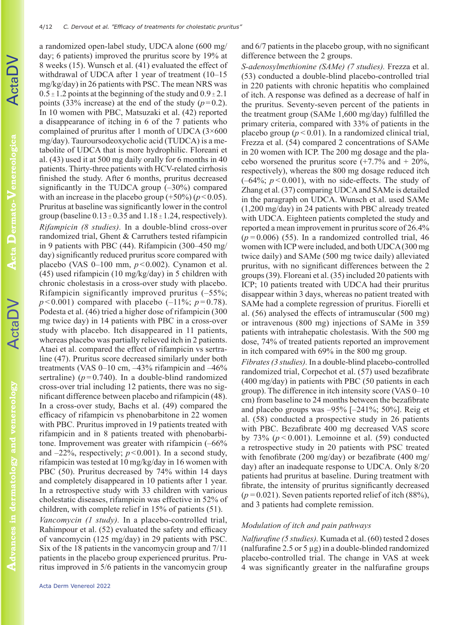a randomized open-label study, UDCA alone (600 mg/ day; 6 patients) improved the pruritus score by 19% at 8 weeks (15). Wunsch et al. (41) evaluated the effect of withdrawal of UDCA after 1 year of treatment (10–15 mg/kg/day) in 26 patients with PSC. The mean NRS was  $0.5 \pm 1.2$  points at the beginning of the study and  $0.9 \pm 2.1$ points (33% increase) at the end of the study  $(p=0.2)$ . In 10 women with PBC, Matsuzaki et al. (42) reported a disappearance of itching in 6 of the 7 patients who complained of pruritus after 1 month of UDCA  $(3\times600)$ mg/day). Tauroursodeoxycholic acid (TUDCA) is a metabolite of UDCA that is more hydrophilic. Floreani et al. (43) used it at 500 mg daily orally for 6 months in 40 patients. Thirty-three patients with HCV-related cirrhosis finished the study. After 6 months, pruritus decreased significantly in the TUDCA group  $(-30\%)$  compared with an increase in the placebo group  $(+50\%) (p<0.05)$ . Pruritus at baseline was significantly lower in the control group (baseline  $0.13 \pm 0.35$  and  $1.18 \pm 1.24$ , respectively). *Rifampicin (8 studies).* In a double-blind cross-over randomized trial, Ghent & Carruthers tested rifampicin in 9 patients with PBC (44). Rifampicin (300–450 mg/ day) significantly reduced pruritus score compared with placebo (VAS 0–100 mm, *p*<0.002). Cynamon et al. (45) used rifampicin (10 mg/kg/day) in 5 children with chronic cholestasis in a cross-over study with placebo. Rifampicin significantly improved pruritus (–55%;  $p < 0.001$ ) compared with placebo  $(-11\%; p=0.78)$ . Podesta et al. (46) tried a higher dose of rifampicin (300 mg twice day) in 14 patients with PBC in a cross-over study with placebo. Itch disappeared in 11 patients, whereas placebo was partially relieved itch in 2 patients. Ataei et al. compared the effect of rifampicin vs sertraline (47). Pruritus score decreased similarly under both treatments (VAS 0–10 cm, –43% rifampicin and –46% sertraline)  $(p=0.740)$ . In a double-blind randomized cross-over trial including 12 patients, there was no significant difference between placebo and rifampicin (48). In a cross-over study, Bachs et al. (49) compared the efficacy of rifampicin vs phenobarbitone in 22 women with PBC. Pruritus improved in 19 patients treated with rifampicin and in 8 patients treated with phenobarbitone. Improvement was greater with rifampicin (–66% and  $-22\%$ , respectively;  $p < 0.001$ ). In a second study, rifampicin was tested at 10 mg/kg/day in 16 women with PBC (50). Pruritus decreased by 74% within 14 days and completely disappeared in 10 patients after 1 year. In a retrospective study with 33 children with various cholestatic diseases, rifampicin was effective in 52% of children, with complete relief in 15% of patients (51).

*Vancomycin (1 study).* In a placebo-controlled trial, Rahimpour et al. (52) evaluated the safety and efficacy of vancomycin (125 mg/day) in 29 patients with PSC. Six of the 18 patients in the vancomycin group and 7/11 patients in the placebo group experienced pruritus. Pruritus improved in 5/6 patients in the vancomycin group and 6/7 patients in the placebo group, with no significant difference between the 2 groups.

*S-adenosylmethionine (SAMe) (7 studies).* Frezza et al. (53) conducted a double-blind placebo-controlled trial in 220 patients with chronic hepatitis who complained of itch. A response was defined as a decrease of half in the pruritus. Seventy-seven percent of the patients in the treatment group (SAMe 1,600 mg/day) fulfilled the primary criteria, compared with 33% of patients in the placebo group  $(p<0.01)$ . In a randomized clinical trial, Frezza et al. (54) compared 2 concentrations of SAMe in 20 women with ICP. The 200 mg dosage and the placebo worsened the pruritus score  $(+7.7\%$  and  $+ 20\%$ , respectively), whereas the 800 mg dosage reduced itch  $(-64\%; p<0.001)$ , with no side-effects. The study of Zhang et al. (37) comparing UDCA and SAMe is detailed in the paragraph on UDCA. Wunsch et al. used SAMe (1,200 mg/day) in 24 patients with PBC already treated with UDCA. Eighteen patients completed the study and reported a mean improvement in pruritus score of 26.4%  $(p=0.006)$  (55). In a randomized controlled trial, 46 women with ICP were included, and both UDCA (300 mg twice daily) and SAMe (500 mg twice daily) alleviated pruritus, with no significant differences between the 2 groups (39). Floreani et al. (35) included 20 patients with ICP; 10 patients treated with UDCA had their pruritus disappear within 3 days, whereas no patient treated with SAMe had a complete regression of pruritus. Fiorelli et al. (56) analysed the effects of intramuscular (500 mg) or intravenous (800 mg) injections of SAMe in 359 patients with intrahepatic cholestasis. With the 500 mg dose, 74% of treated patients reported an improvement in itch compared with 69% in the 800 mg group.

*Fibrates (3 studies).* In a double-blind placebo-controlled randomized trial, Corpechot et al. (57) used bezafibrate (400 mg/day) in patients with PBC (50 patients in each group). The difference in itch intensity score (VAS 0–10 cm) from baseline to 24 months between the bezafibrate and placebo groups was –95% [–241%; 50%]. Reig et al. (58) conducted a prospective study in 26 patients with PBC. Bezafibrate 400 mg decreased VAS score by  $73\%$  ( $p < 0.001$ ). Lemoinne et al. (59) conducted a retrospective study in 20 patients with PSC treated with fenofibrate (200 mg/day) or bezafibrate (400 mg/ day) after an inadequate response to UDCA. Only 8/20 patients had pruritus at baseline. During treatment with fibrate, the intensity of pruritus significantly decreased (*p=*0.021). Seven patients reported relief of itch (88%), and 3 patients had complete remission.

## *Modulation of itch and pain pathways*

*Nalfurafine (5 studies).* Kumada et al. (60) tested 2 doses (nalfurafine 2.5 or 5  $\mu$ g) in a double-blinded randomized placebo-controlled trial. The change in VAS at week 4 was significantly greater in the nalfurafine groups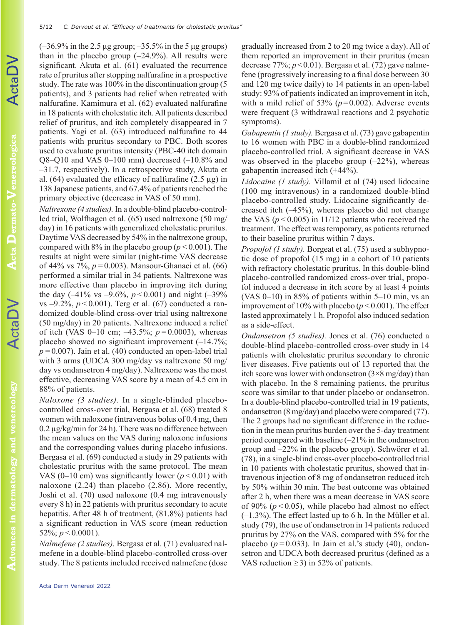$(-36.9\%$  in the 2.5 μg group;  $-35.5\%$  in the 5 μg groups) than in the placebo group  $(-24.9\%)$ . All results were significant. Akuta et al. (61) evaluated the recurrence rate of pruritus after stopping nalfurafine in a prospective study. The rate was 100% in the discontinuation group (5 patients), and 3 patients had relief when retreated with nalfurafine. Kamimura et al. (62) evaluated nalfurafine in 18 patients with cholestatic itch. All patients described relief of pruritus, and itch completely disappeared in 7 patients. Yagi et al. (63) introduced nalfurafine to 44 patients with pruritus secondary to PBC. Both scores used to evaluate pruritus intensity (PBC-40 itch domain Q8–Q10 and VAS 0–100 mm) decreased (–10.8% and –31.7, respectively). In a retrospective study, Akuta et al.  $(64)$  evaluated the efficacy of nalfurafine  $(2.5 \mu g)$  in 138 Japanese patients, and 67.4% of patients reached the primary objective (decrease in VAS of 50 mm).

*Naltrexone (4 studies).* In a double-blind placebo-controlled trial, Wolfhagen et al. (65) used naltrexone (50 mg/ day) in 16 patients with generalized cholestatic pruritus. Daytime VAS decreased by 54% in the naltrexone group, compared with  $8\%$  in the placebo group ( $p < 0.001$ ). The results at night were similar (night-time VAS decrease of 44% vs 7%, *p=*0.003). Mansour-Ghanaei et al. (66) performed a similar trial in 34 patients. Naltrexone was more effective than placebo in improving itch during the day  $(-41\% \text{ vs } -9.6\%, p < 0.001)$  and night  $(-39\%$ vs  $-9.2\%$ ,  $p < 0.001$ ). Terg et al. (67) conducted a randomized double-blind cross-over trial using naltrexone (50 mg/day) in 20 patients. Naltrexone induced a relief of itch (VAS 0–10 cm; –43.5%; *p=*0.0003), whereas placebo showed no significant improvement (–14.7%; *p=*0.007). Jain et al. (40) conducted an open-label trial with 3 arms (UDCA 300 mg/day vs naltrexone 50 mg/ day vs ondansetron 4 mg/day). Naltrexone was the most effective, decreasing VAS score by a mean of 4.5 cm in 88% of patients.

*Naloxone (3 studies).* In a single-blinded placebocontrolled cross-over trial, Bergasa et al. (68) treated 8 women with naloxone (intravenous bolus of 0.4 mg, then 0.2 µg/kg/min for 24 h). There was no difference between the mean values on the VAS during naloxone infusions and the corresponding values during placebo infusions. Bergasa et al. (69) conducted a study in 29 patients with cholestatic pruritus with the same protocol. The mean VAS (0–10 cm) was significantly lower ( $p < 0.01$ ) with naloxone (2.24) than placebo (2.86). More recently, Joshi et al. (70) used naloxone (0.4 mg intravenously every 8 h) in 22 patients with pruritus secondary to acute hepatitis. After 48 h of treatment, (81.8%) patients had a significant reduction in VAS score (mean reduction 52\%;  $p < 0.0001$ ).

*Nalmefene (2 studies).* Bergasa et al. (71) evaluated nalmefene in a double-blind placebo-controlled cross-over study. The 8 patients included received nalmefene (dose

gradually increased from 2 to 20 mg twice a day). All of them reported an improvement in their pruritus (mean decrease 77%; *p*<0.01). Bergasa et al. (72) gave nalmefene (progressively increasing to a final dose between 30 and 120 mg twice daily) to 14 patients in an open-label study: 93% of patients indicated an improvement in itch, with a mild relief of  $53\%$  ( $p=0.002$ ). Adverse events were frequent (3 withdrawal reactions and 2 psychotic symptoms).

*Gabapentin (1 study).* Bergasa et al. (73) gave gabapentin to 16 women with PBC in a double-blind randomized placebo-controlled trial. A significant decrease in VAS was observed in the placebo group  $(-22\%)$ , whereas gabapentin increased itch (+44%).

*Lidocaine (1 study).* Villamil et al (74) used lidocaine (100 mg intravenous) in a randomized double-blind placebo-controlled study. Lidocaine significantly decreased itch (–45%), whereas placebo did not change the VAS  $(p < 0.005)$  in 11/12 patients who received the treatment. The effect was temporary, as patients returned to their baseline pruritus within 7 days.

*Propofol (1 study).* Borgeat et al. (75) used a subhypnotic dose of propofol (15 mg) in a cohort of 10 patients with refractory cholestatic pruritus. In this double-blind placebo-controlled randomized cross-over trial, propofol induced a decrease in itch score by at least 4 points (VAS 0–10) in 85% of patients within 5–10 min, vs an improvement of  $10\%$  with placebo ( $p < 0.001$ ). The effect lasted approximately 1 h. Propofol also induced sedation as a side-effect.

*Ondansetron (5 studies).* Jones et al. (76) conducted a double-blind placebo-controlled cross-over study in 14 patients with cholestatic pruritus secondary to chronic liver diseases. Five patients out of 13 reported that the itch score was lower with ondansetron  $(3\times8 \text{ mg/day})$  than with placebo. In the 8 remaining patients, the pruritus score was similar to that under placebo or ondansetron. In a double-blind placebo-controlled trial in 19 patients, ondansetron (8 mg/day) and placebo were compared (77). The 2 groups had no significant difference in the reduction in the mean pruritus burden over the 5-day treatment period compared with baseline (–21% in the ondansetron group and –22% in the placebo group). Schwörer et al. (78), in a single-blind cross-over placebo-controlled trial in 10 patients with cholestatic pruritus, showed that intravenous injection of 8 mg of ondansetron reduced itch by 50% within 30 min. The best outcome was obtained after 2 h, when there was a mean decrease in VAS score of 90% ( $p < 0.05$ ), while placebo had almost no effect (–1.3%). The effect lasted up to 6 h. In the Müller et al. study (79), the use of ondansetron in 14 patients reduced pruritus by 27% on the VAS, compared with 5% for the placebo ( $p=0.033$ ). In Jain et al.'s study (40), ondansetron and UDCA both decreased pruritus (defined as a VAS reduction  $\geq$ 3) in 52% of patients.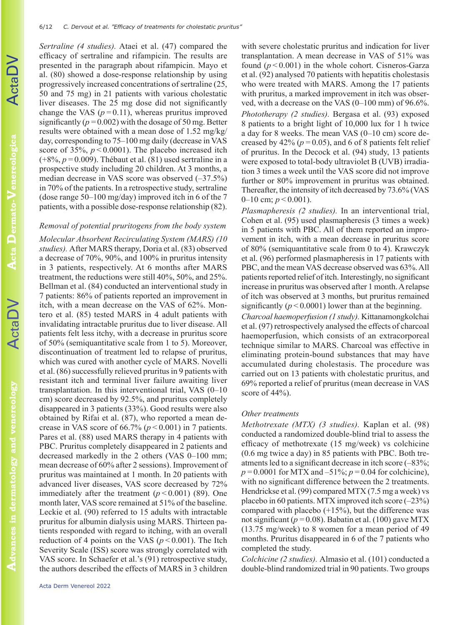*Sertraline (4 studies).* Ataei et al. (47) compared the efficacy of sertraline and rifampicin. The results are presented in the paragraph about rifampicin. Mayo et al. (80) showed a dose-response relationship by using progressively increased concentrations of sertraline (25, 50 and 75 mg) in 21 patients with various cholestatic liver diseases. The 25 mg dose did not significantly change the VAS  $(p=0.11)$ , whereas pruritus improved significantly ( $p=0.002$ ) with the dosage of 50 mg. Better results were obtained with a mean dose of 1.52 mg/kg/ day, corresponding to 75–100 mg daily (decrease in VAS score of  $35\%$ ,  $p < 0.0001$ ). The placebo increased itch (+8%, *p=*0.009). Thébaut et al. (81) used sertraline in a prospective study including 20 children. At 3 months, a median decrease in VAS score was observed (–37.5%) in 70% of the patients. In a retrospective study, sertraline (dose range 50–100 mg/day) improved itch in 6 of the 7 patients, with a possible dose-response relationship (82).

# *Removal of potential pruritogens from the body system*

*Molecular Absorbent Recirculating System (MARS) (10 studies).* After MARS therapy, Doria et al. (83) observed a decrease of 70%, 90%, and 100% in pruritus intensity in 3 patients, respectively. At 6 months after MARS treatment, the reductions were still 40%, 50%, and 25%. Bellman et al. (84) conducted an interventional study in 7 patients: 86% of patients reported an improvement in itch, with a mean decrease on the VAS of 62%. Montero et al. (85) tested MARS in 4 adult patients with invalidating intractable pruritus due to liver disease. All patients felt less itchy, with a decrease in pruritus score of 50% (semiquantitative scale from 1 to 5). Moreover, discontinuation of treatment led to relapse of pruritus, which was cured with another cycle of MARS. Novelli et al. (86) successfully relieved pruritus in 9 patients with resistant itch and terminal liver failure awaiting liver transplantation. In this interventional trial, VAS (0–10 cm) score decreased by 92.5%, and pruritus completely disappeared in 3 patients (33%). Good results were also obtained by Rifai et al. (87), who reported a mean decrease in VAS score of  $66.7\%$   $(p < 0.001)$  in 7 patients. Pares et al. (88) used MARS therapy in 4 patients with PBC. Pruritus completely disappeared in 2 patients and decreased markedly in the 2 others (VAS 0–100 mm; mean decrease of 60% after 2 sessions). Improvement of pruritus was maintained at 1 month. In 20 patients with advanced liver diseases, VAS score decreased by 72% immediately after the treatment  $(p < 0.001)$  (89). One month later, VAS score remained at 51% of the baseline. Leckie et al. (90) referred to 15 adults with intractable pruritus for albumin dialysis using MARS. Thirteen patients responded with regard to itching, with an overall reduction of 4 points on the VAS ( $p < 0.001$ ). The Itch Severity Scale (ISS) score was strongly correlated with VAS score. In Schaefer et al.'s (91) retrospective study, the authors described the effects of MARS in 3 children

with severe cholestatic pruritus and indication for liver transplantation. A mean decrease in VAS of 51% was found (*p<*0.001) in the whole cohort. Cisneros-Garza et al. (92) analysed 70 patients with hepatitis cholestasis who were treated with MARS. Among the 17 patients with pruritus, a marked improvement in itch was observed, with a decrease on the VAS (0–100 mm) of 96.6%. *Phototherapy (2 studies).* Bergasa et al. (93) exposed 8 patients to a bright light of 10,000 lux for 1 h twice a day for 8 weeks. The mean VAS (0–10 cm) score decreased by  $42\%$  ( $p=0.05$ ), and 6 of 8 patients felt relief of pruritus. In the Decock et al. (94) study, 13 patients were exposed to total-body ultraviolet B (UVB) irradiation 3 times a week until the VAS score did not improve further or 80% improvement in pruritus was obtained. Thereafter, the intensity of itch decreased by 73.6% (VAS 0–10 cm; *p<*0.001).

*Plasmapheresis (2 studies).* In an interventional trial, Cohen et al. (95) used plasmapheresis (3 times a week) in 5 patients with PBC. All of them reported an improvement in itch, with a mean decrease in pruritus score of 80% (semiquantitative scale from 0 to 4). Krawczyk et al. (96) performed plasmapheresis in 17 patients with PBC, and the mean VAS decrease observed was 63%. All patients reported relief of itch. Interestingly, no significant increase in pruritus was observed after 1 month. A relapse of itch was observed at 3 months, but pruritus remained significantly  $(p < 0.0001)$  lower than at the beginning. *Charcoal haemoperfusion (1 study).* Kittanamongkolchai

et al. (97) retrospectively analysed the effects of charcoal haemoperfusion, which consists of an extracorporeal technique similar to MARS. Charcoal was effective in eliminating protein-bound substances that may have accumulated during cholestasis. The procedure was carried out on 13 patients with cholestatic pruritus, and 69% reported a relief of pruritus (mean decrease in VAS score of 44%).

#### *Other treatments*

*Methotrexate (MTX) (3 studies).* Kaplan et al. (98) conducted a randomized double-blind trial to assess the efficacy of methotrexate (15 mg/week) vs colchicine (0.6 mg twice a day) in 85 patients with PBC. Both treatments led to a significant decrease in itch score (–83%;  $p=0.0001$  for MTX and –51%;  $p=0.04$  for colchicine), with no significant difference between the 2 treatments. Hendrickse et al. (99) compared MTX (7.5 mg a week) vs placebo in 60 patients. MTX improved itch score (–23%) compared with placebo  $(+15%)$ , but the difference was not significant (*p=*0.08). Babatin et al. (100) gave MTX (13.75 mg/week) to 8 women for a mean period of 49 months. Pruritus disappeared in 6 of the 7 patients who completed the study.

*Colchicine (2 studies).* Almasio et al. (101) conducted a double-blind randomized trial in 90 patients. Two groups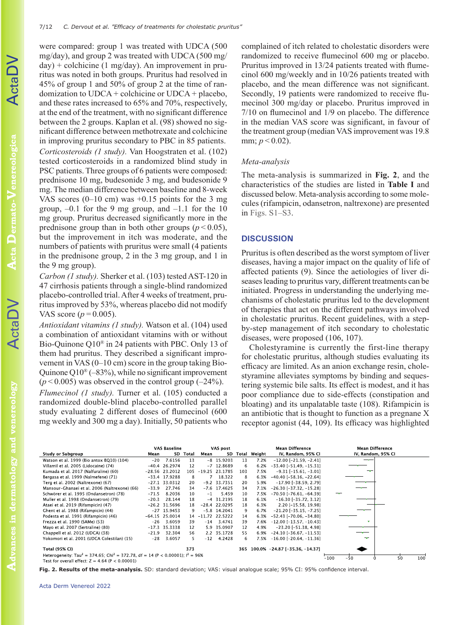were compared: group 1 was treated with UDCA (500 mg/day), and group 2 was treated with UDCA (500 mg/  $day$ ) + colchicine (1 mg/day). An improvement in pruritus was noted in both groups. Pruritus had resolved in 45% of group 1 and 50% of group 2 at the time of randomization to UDCA + colchicine or UDCA + placebo, and these rates increased to 65% and 70%, respectively, at the end of the treatment, with no significant difference between the 2 groups. Kaplan et al. (98) showed no significant difference between methotrexate and colchicine in improving pruritus secondary to PBC in 85 patients. *Corticosteroids (1 study).* Van Hoogstraten et al. (102) tested corticosteroids in a randomized blind study in PSC patients. Three groups of 6 patients were composed: prednisone 10 mg, budesonide 3 mg, and budesonide 9 mg. The median difference between baseline and 8-week VAS scores  $(0-10 \text{ cm})$  was  $+0.15$  points for the 3 mg group,  $-0.1$  for the 9 mg group, and  $-1.1$  for the 10 mg group. Pruritus decreased significantly more in the prednisone group than in both other groups  $(p < 0.05)$ , but the improvement in itch was moderate, and the numbers of patients with pruritus were small (4 patients in the prednisone group, 2 in the 3 mg group, and 1 in the 9 mg group).

*Carbon (1 study).* Sherker et al. (103) tested AST-120 in 47 cirrhosis patients through a single-blind randomized placebo-controlled trial. After 4 weeks of treatment, pruritus improved by 53%, whereas placebo did not modify VAS score (*p=*0.005).

*Antioxidant vitamins (1 study).* Watson et al. (104) used a combination of antioxidant vitamins with or without Bio-Quinone Q10® in 24 patients with PBC. Only 13 of them had pruritus. They described a significant improvement in VAS (0–10 cm) score in the group taking Bio-Quinone  $Q10^{\circledast}$  (–83%), while no significant improvement  $(p<0.005)$  was observed in the control group  $(-24\%)$ .

*Flumecinol (1 study).* Turner et al. (105) conducted a randomized double-blind placebo-controlled parallel study evaluating 2 different doses of flumecinol (600 mg weekly and 300 mg a day). Initially, 50 patients who complained of itch related to cholestatic disorders were randomized to receive flumecinol 600 mg or placebo. Pruritus improved in 13/24 patients treated with flumecinol 600 mg/weekly and in 10/26 patients treated with placebo, and the mean difference was not significant. Secondly, 19 patients were randomized to receive flumecinol 300 mg/day or placebo. Pruritus improved in 7/10 on flumecinol and 1/9 on placebo. The difference in the median VAS score was significant, in favour of the treatment group (median VAS improvement was 19.8 mm;  $p < 0.02$ ).

#### *Meta-analysis*

The meta-analysis is summarized in **Fig. 2**, and the characteristics of the studies are listed in **Table I** and discussed below. Meta-analysis according to some molecules (rifampicin, odansetron, naltrexone) are presented in [Figs. S1–S3](https://doi.org/10.2340/actadv.v102.310).

#### **DISCUSSION**

Pruritus is often described as the worst symptom of liver diseases, having a major impact on the quality of life of affected patients (9). Since the aetiologies of liver diseases leading to pruritus vary, different treatments can be initiated. Progress in understanding the underlying mechanisms of cholestatic pruritus led to the development of therapies that act on the different pathways involved in cholestatic pruritus. Recent guidelines, with a stepby-step management of itch secondary to cholestatic diseases, were proposed (106, 107).

Cholestyramine is currently the first-line therapy for cholestatic pruritus, although studies evaluating its efficacy are limited. As an anion exchange resin, cholestyramine alleviates symptoms by binding and sequestering systemic bile salts. Its effect is modest, and it has poor compliance due to side-effects (constipation and bloating) and its unpalatable taste (108). Rifampicin is an antibiotic that is thought to function as a pregnane X receptor agonist (44, 109). Its efficacy was highlighted

|                                                                                                         |         | VAS Baseline     |          |       | VAS post         |          |        | <b>Mean Difference</b>           | <b>Mean Difference</b> |           |
|---------------------------------------------------------------------------------------------------------|---------|------------------|----------|-------|------------------|----------|--------|----------------------------------|------------------------|-----------|
| <b>Study or Subgroup</b>                                                                                | Mean    |                  | SD Total | Mean  |                  | SD Total | Weight | IV, Random, 95% CI               | IV, Random, 95% CI     |           |
| Watson et al. 1999 (Bio antox BQ10) (104)                                                               | $-20$   | 7.6156           | 13       |       | $-8$ 15.9203     | 13       | 7.2%   | $-12.00$ [ $-21.59$ , $-2.41$ ]  |                        |           |
| Villamil et al. 2005 (Lidocaine) (74)                                                                   | $-40.4$ | 26.2974          | 12       |       | $-7$ 12.8689     | 6        | 6.2%   | $-33.40$ [ $-51.49$ . $-15.31$ ] |                        |           |
| Kumada et al. 2017 (Nalfuraline) (60)                                                                   |         | $-28.56$ 23.2012 | 105      |       | $-19.25$ 23.1785 | 103      | 7.5%   | $-9.31$ $[-15.61, -3.01]$        |                        |           |
| Bergasa et al. 1999 (Nalmefene) (71)                                                                    |         | $-33.4$ 17.9288  | 8        |       | 18.322           | 8        | 6.3%   | $-40.40$ [ $-58.16$ . $-22.64$ ] |                        |           |
| Terg et al. 2002 (Naltrexone) (67)                                                                      |         | $-27.1$ 33.0312  | 20       |       | $-9.2$ 33.7351   | 20       | 5.9%   | $-17.90$ [ $-38.59$ , 2.79]      |                        |           |
| Mansour-Ghanaei et al. 2006 (Naltrexone) (66)                                                           | $-33.9$ | 27.746           | 34       |       | $-7.6$ 17.4625   | 34       | 7.1%   | $-26.30$ [ $-37.32$ , $-15.28$ ] |                        |           |
| Schwörer et al. 1995 (Ondansetron) (78)                                                                 | $-71.5$ | 8.2036           | 10       | $-1$  | 5.459            | 10       | 7.5%   | $-70.50$ [ $-76.61$ . $-64.39$ ] |                        |           |
| Muller et al. 1998 (Ondansetron) (79)                                                                   | $-20.3$ | 28.144           | 18       |       | $-4$ 31.2195     | 18       | 6.1%   | $-16.30$ [ $-35.72$ , 3.12]      |                        |           |
| Ataei et al. 2019 (Rifampicin) (47)                                                                     |         | $-26.2$ 31.5696  | 18       |       | $-28.4$ 22.0295  | 18       | 6.3%   | 2.20 [-15.58, 19.98]             |                        |           |
| Ghent et al. 1988 (Rifampicin) (44)                                                                     |         | $-27$ 15.9453    | 9        |       | $-5.8$ 14.2041   | 9        | 6.7%   | $-21.20$ [ $-35.15$ , $-7.25$ ]  |                        |           |
| Podesta et al. 1991 (Rifampicin) (46)                                                                   |         | $-64.15$ 25.0014 | 14       |       | $-11.72$ 22.5222 | 14       | 6.3%   | $-52.43$ [ $-70.06$ , $-34.80$ ] |                        |           |
| Frezza et al. 1990 (SAMe) (53)                                                                          | $-26$   | 3.6059           | 39       | $-14$ | 3.4741           | 39       | 7.6%   | $-12.00$ [ $-13.57$ , $-10.43$ ] |                        |           |
| Mayo et al. 2007 (Sertraline) (80)                                                                      | $-17.3$ | 35.3338          | 12       |       | 5.9 35.0907      | 12       | 4.9%   | $-23.20$ [ $-51.38$ , 4.98]      |                        |           |
| Chappell et al. 2012 (UDCA) (38)                                                                        | $-21.9$ | 32.304           | 56       |       | 2.2 35.1728      | 55.      | 6.9%   | $-24.10$ [ $-36.67$ , $-11.53$ ] |                        |           |
| Yokomori et al. 2001 (UDCA Colestilan) (15)                                                             | $-28$   | 3.6057           | 5        | $-12$ | 4.2428           | 6        | 7.5%   | $-16.00$ [ $-20.64$ , $-11.36$ ] |                        |           |
| <b>Total (95% CI)</b>                                                                                   |         |                  | 373      |       |                  | 365      |        | 100.0% -24.87 [-35.36, -14.37]   |                        |           |
| Heterogeneity: Tau <sup>2</sup> = 374.65; Chi <sup>2</sup> = 372.78, df = 14 (P < 0.00001); $I^2$ = 96% |         |                  |          |       |                  |          |        |                                  |                        |           |
| Test for overall effect: $Z = 4.64$ (P < 0.00001)                                                       |         |                  |          |       |                  |          |        |                                  | $-100$<br>$-50$        | 50<br>100 |

**Fig. 2. Results of the meta-analysis.** SD: standard deviation; VAS: visual analogue scale; 95% CI: 95% confidence interval.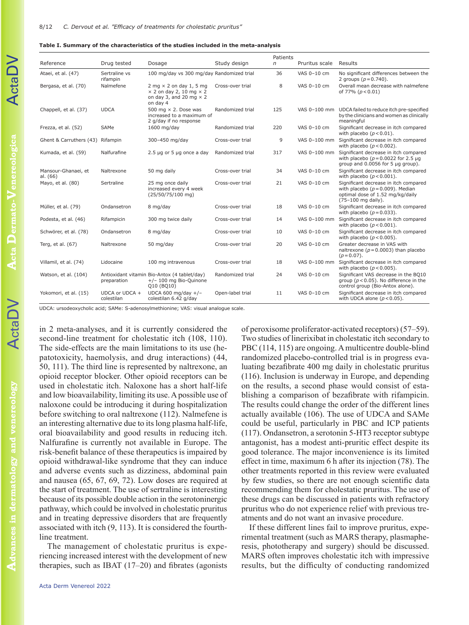| Table I. Summary of the characteristics of the studies included in the meta-analysis |  |  |  |
|--------------------------------------------------------------------------------------|--|--|--|
|--------------------------------------------------------------------------------------|--|--|--|

|                                  |                              |                                                                                                                         |                  | Patients |                |                                                                                                                                         |
|----------------------------------|------------------------------|-------------------------------------------------------------------------------------------------------------------------|------------------|----------|----------------|-----------------------------------------------------------------------------------------------------------------------------------------|
| Reference                        | Drug tested                  | Dosage                                                                                                                  | Study design     | n        | Pruritus scale | Results                                                                                                                                 |
| Ataei, et al. (47)               | Sertraline vs<br>rifampin    | 100 mg/day vs 300 mg/day Randomized trial                                                                               |                  | 36       | VAS 0-10 cm    | No significant differences between the<br>2 groups $(p = 0.740)$ .                                                                      |
| Bergasa, et al. (70)             | Nalmefene                    | $2$ mg $\times$ 2 on day 1, 5 mg<br>$\times$ 2 on day 2, 10 mg $\times$ 2<br>on day 3, and 20 mg $\times$ 2<br>on day 4 | Cross-over trial | 8        | VAS 0-10 cm    | Overall mean decrease with nalmefene<br>of 77% ( $p < 0.01$ )                                                                           |
| Chappell, et al. (37)            | <b>UDCA</b>                  | 500 mg $\times$ 2. Dose was<br>increased to a maximum of<br>2 g/day if no response                                      | Randomized trial | 125      | VAS 0-100 mm   | UDCA failed to reduce itch pre-specified<br>by the clinicians and women as clinically<br>meaningful                                     |
| Frezza, et al. (52)              | SAMe                         | 1600 mg/day                                                                                                             | Randomized trial | 220      | VAS 0-10 cm    | Significant decrease in itch compared<br>with placebo $(p < 0.01)$ .                                                                    |
| Ghent & Carruthers (43) Rifampin |                              | 300-450 mg/day                                                                                                          | Cross-over trial | 9        | VAS 0-100 mm   | Significant decrease in itch compared<br>with placebo $(p < 0.002)$ .                                                                   |
| Kumada, et al. (59)              | Nalfurafine                  | $2.5 \mu q$ or 5 $\mu q$ once a day                                                                                     | Randomized trial | 317      | VAS 0-100 mm   | Significant decrease in itch compared<br>with placebo ( $p = 0.0022$ for 2.5 $\mu$ g<br>group and 0.0056 for 5 µg group).               |
| Mansour-Ghanaei, et<br>al. (66)  | Naltrexone                   | 50 mg daily                                                                                                             | Cross-over trial | 34       | VAS 0-10 cm    | Significant decrease in itch compared<br>with placebo $(p < 0.001)$ .                                                                   |
| Mayo, et al. (80)                | Sertraline                   | 25 mg once daily<br>increased every 4 week<br>(25/50/75/100 mg)                                                         | Cross-over trial | 21       | VAS 0-10 cm    | Significant decrease in itch compared<br>with placebo ( $p = 0.009$ ). Median<br>optimal dose of 1.52 mg/kg/daily<br>(75-100 mg daily). |
| Müller, et al. (79)              | Ondansetron                  | 8 mg/day                                                                                                                | Cross-over trial | 18       | VAS 0-10 cm    | Significant decrease in itch compared<br>with placebo $(p = 0.033)$ .                                                                   |
| Podesta, et al. (46)             | Rifampicin                   | 300 mg twice daily                                                                                                      | Cross-over trial | 14       | VAS 0-100 mm   | Significant decrease in itch compared<br>with placebo $(p < 0.001)$ .                                                                   |
| Schwörer, et al. (78)            | Ondansetron                  | 8 mg/day                                                                                                                | Cross-over trial | 10       | VAS 0-10 cm    | Significant decrease in itch compared<br>with placebo $(p < 0.005)$ .                                                                   |
| Terg, et al. (67)                | Naltrexone                   | 50 mg/day                                                                                                               | Cross-over trial | 20       | VAS 0-10 cm    | Greater decrease in VAS with<br>naltrexone ( $p = 0.0003$ ) than placebo<br>$(p = 0.07)$ .                                              |
| Villamil, et al. (74)            | Lidocaine                    | 100 mg intravenous                                                                                                      | Cross-over trial | 18       | VAS 0-100 mm   | Significant decrease in itch compared<br>with placebo $(p < 0.005)$ .                                                                   |
| Watson, et al. (104)             | preparation                  | Antioxidant vitamin Bio-Antox (4 tablet/day)<br>$+/- 100$ mg Bio-Quinone<br>Q10 (BQ10)                                  | Randomized trial | 24       | VAS 0-10 cm    | Significant VAS decrease in the BQ10<br>group ( $p < 0.05$ ). No difference in the<br>control group (Bio-Antox alone).                  |
| Yokomori, et al. (15)            | UDCA or UDCA +<br>colestilan | UDCA 600 mg/day $+/-$<br>colestilan 6.42 g/day                                                                          | Open-label trial | 11       | VAS 0-10 cm    | Significant decrease in itch compared<br>with UDCA alone ( $p < 0.05$ ).                                                                |

UDCA: ursodeoxycholic acid; SAMe: S-adenosylmethionine; VAS: visual analogue scale.

in 2 meta-analyses, and it is currently considered the second-line treatment for cholestatic itch (108, 110). The side-effects are the main limitations to its use (hepatotoxicity, haemolysis, and drug interactions) (44, 50, 111). The third line is represented by naltrexone, an opioid receptor blocker. Other opioid receptors can be used in cholestatic itch. Naloxone has a short half-life and low bioavailability, limiting its use. A possible use of naloxone could be introducing it during hospitalization before switching to oral naltrexone (112). Nalmefene is an interesting alternative due to its long plasma half-life, oral bioavailability and good results in reducing itch. Nalfurafine is currently not available in Europe. The risk-benefit balance of these therapeutics is impaired by opioid withdrawal-like syndrome that they can induce and adverse events such as dizziness, abdominal pain and nausea (65, 67, 69, 72). Low doses are required at the start of treatment. The use of sertraline is interesting because of its possible double action in the serotoninergic pathway, which could be involved in cholestatic pruritus and in treating depressive disorders that are frequently associated with itch (9, 113). It is considered the fourthline treatment.

The management of cholestatic pruritus is experiencing increased interest with the development of new therapies, such as IBAT (17–20) and fibrates (agonists of peroxisome proliferator-activated receptors) (57–59). Two studies of linerixibat in cholestatic itch secondary to PBC (114, 115) are ongoing. A multicentre double-blind randomized placebo-controlled trial is in progress evaluating bezafibrate 400 mg daily in cholestatic pruritus (116). Inclusion is underway in Europe, and depending on the results, a second phase would consist of establishing a comparison of bezafibrate with rifampicin. The results could change the order of the different lines actually available (106). The use of UDCA and SAMe could be useful, particularly in PBC and ICP patients (117). Ondansetron, a serotonin 5-HT3 receptor subtype antagonist, has a modest anti-pruritic effect despite its good tolerance. The major inconvenience is its limited effect in time, maximum 6 h after its injection (78). The other treatments reported in this review were evaluated by few studies, so there are not enough scientific data recommending them for cholestatic pruritus. The use of these drugs can be discussed in patients with refractory pruritus who do not experience relief with previous treatments and do not want an invasive procedure.

If these different lines fail to improve pruritus, experimental treatment (such as MARS therapy, plasmapheresis, phototherapy and surgery) should be discussed. MARS often improves cholestatic itch with impressive results, but the difficulty of conducting randomized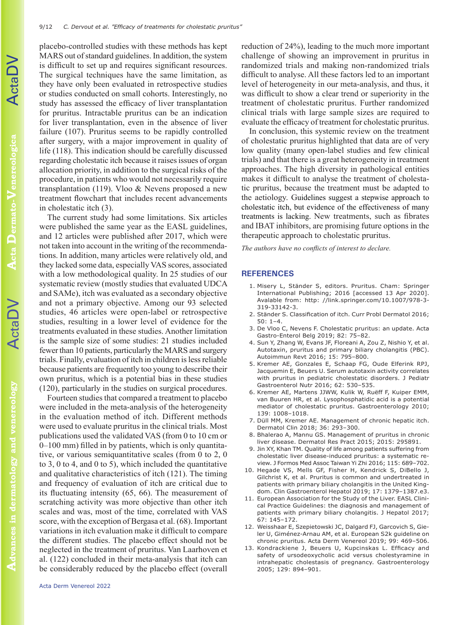placebo-controlled studies with these methods has kept MARS out of standard guidelines. In addition, the system is difficult to set up and requires significant resources. The surgical techniques have the same limitation, as they have only been evaluated in retrospective studies or studies conducted on small cohorts. Interestingly, no study has assessed the efficacy of liver transplantation for pruritus. Intractable pruritus can be an indication for liver transplantation, even in the absence of liver failure (107). Pruritus seems to be rapidly controlled after surgery, with a major improvement in quality of life (118). This indication should be carefully discussed regarding cholestatic itch because it raises issues of organ allocation priority, in addition to the surgical risks of the procedure, in patients who would not necessarily require transplantation (119). Vloo & Nevens proposed a new treatment flowchart that includes recent advancements in cholestatic itch (3).

The current study had some limitations. Six articles were published the same year as the EASL guidelines, and 12 articles were published after 2017, which were not taken into account in the writing of the recommendations. In addition, many articles were relatively old, and they lacked some data, especially VAS scores, associated with a low methodological quality. In 25 studies of our systematic review (mostly studies that evaluated UDCA and SAMe), itch was evaluated as a secondary objective and not a primary objective. Among our 93 selected studies, 46 articles were open-label or retrospective studies, resulting in a lower level of evidence for the treatments evaluated in these studies. Another limitation is the sample size of some studies: 21 studies included fewer than 10 patients, particularly the MARS and surgery trials. Finally, evaluation of itch in children is less reliable because patients are frequently too young to describe their own pruritus, which is a potential bias in these studies (120), particularly in the studies on surgical procedures.

Fourteen studies that compared a treatment to placebo were included in the meta-analysis of the heterogeneity in the evaluation method of itch. Different methods were used to evaluate pruritus in the clinical trials. Most publications used the validated VAS (from 0 to 10 cm or 0–100 mm) filled in by patients, which is only quantitative, or various semiquantitative scales (from 0 to 2, 0 to 3, 0 to 4, and 0 to 5), which included the quantitative and qualitative characteristics of itch (121). The timing and frequency of evaluation of itch are critical due to its fluctuating intensity (65, 66). The measurement of scratching activity was more objective than other itch scales and was, most of the time, correlated with VAS score, with the exception of Bergasa et al. (68). Important variations in itch evaluation make it difficult to compare the different studies. The placebo effect should not be neglected in the treatment of pruritus. Van Laarhoven et al. (122) concluded in their meta-analysis that itch can be considerably reduced by the placebo effect (overall reduction of 24%), leading to the much more important challenge of showing an improvement in pruritus in randomized trials and making non-randomized trials difficult to analyse. All these factors led to an important level of heterogeneity in our meta-analysis, and thus, it was difficult to show a clear trend or superiority in the treatment of cholestatic pruritus. Further randomized clinical trials with large sample sizes are required to evaluate the efficacy of treatment for cholestatic pruritus.

In conclusion, this systemic review on the treatment of cholestatic pruritus highlighted that data are of very low quality (many open-label studies and few clinical trials) and that there is a great heterogeneity in treatment approaches. The high diversity in pathological entities makes it difficult to analyse the treatment of cholestatic pruritus, because the treatment must be adapted to the aetiology. Guidelines suggest a stepwise approach to cholestatic itch, but evidence of the effectiveness of many treatments is lacking. New treatments, such as fibrates and IBAT inhibitors, are promising future options in the therapeutic approach to cholestatic pruritus.

*The authors have no conflicts of interest to declare.*

#### **REFERENCES**

- 1. Misery L, Ständer S, editors. Pruritus. Cham: Springer International Publishing; 2016 [accessed 13 Apr 2020]. Avalable from: http: //link.springer.com/10.1007/978-3- 319-33142-3.
- 2. Ständer S. Classification of itch. Curr Probl Dermatol 2016; 50: 1–4.
- 3. De Vloo C, Nevens F. Cholestatic pruritus: an update. Acta Gastro-Enterol Belg 2019; 82: 75–82.
- 4. Sun Y, Zhang W, Evans JF, Floreani A, Zou Z, Nishio Y, et al. Autotaxin, pruritus and primary biliary cholangitis (PBC). Autoimmun Revt 2016; 15: 795–800.
- 5. Kremer AE, Gonzales E, Schaap FG, Oude Elferink RPJ, Jacquemin E, Beuers U. Serum autotaxin activity correlates with pruritus in pediatric cholestatic disorders. J Pediatr Gastroenterol Nutr 2016; 62: 530–535.
- 6. Kremer AE, Martens JJWW, Kulik W, Ruëff F, Kuiper EMM, van Buuren HR, et al. Lysophosphatidic acid is a potential mediator of cholestatic pruritus. Gastroenterology 2010; 139: 1008–1018.
- 7. Düll MM, Kremer AE. Management of chronic hepatic itch. Dermatol Clin 2018; 36: 293–300.
- 8. Bhalerao A, Mannu GS. Management of pruritus in chronic liver disease. Dermatol Res Pract 2015; 2015: 295891.
- 9. Jin XY, Khan TM. Quality of life among patients suffering from cholestatic liver disease-induced pruritus: a systematic review. J Formos Med Assoc Taiwan Yi Zhi 2016; 115: 689–702.
- 10. Hegade VS, Mells GF, Fisher H, Kendrick S, DiBello J, Gilchrist K, et al. Pruritus is common and undertreated in patients with primary biliary cholangitis in the United Kingdom. Clin Gastroenterol Hepatol 2019; 17: 1379–1387.e3.
- 11. European Association for the Study of the Liver. EASL Clinical Practice Guidelines: the diagnosis and management of patients with primary biliary cholangitis. J Hepatol 2017; 67: 145–172.
- 12. Weisshaar E, Szepietowski JC, Dalgard FJ, Garcovich S, Gieler U, Giménez-Arnau AM, et al. European S2k guideline on chronic pruritus. Acta Derm Venereol 2019; 99: 469–506.
- 13. Kondrackiene J, Beuers U, Kupcinskas L. Efficacy and safety of ursodeoxycholic acid versus cholestyramine in intrahepatic cholestasis of pregnancy. Gastroenterology 2005; 129: 894–901.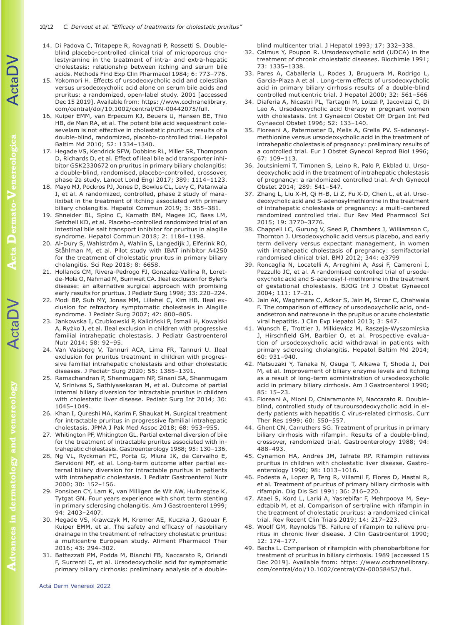- 14. Di Padova C, Tritapepe R, Rovagnati P, Rossetti S. Doubleblind placebo-controlled clinical trial of microporous cholestyramine in the treatment of intra- and extra-hepatic cholestasis: relationship between itching and serum bile acids. Methods Find Exp Clin Pharmacol 1984; 6: 773–776.
- 15. Yokomori H. Effects of ursodeoxycholic acid and colestilan versus ursodeoxycholic acid alone on serum bile acids and pruritus: a randomized, open-label study. 2001 [accessed Dec 15 2019]. Available from: https: //www.cochranelibrary. com/central/doi/10.1002/central/CN-00442075/full.
- 16. Kuiper EMM, van Erpecum KJ, Beuers U, Hansen BE, Thio HB, de Man RA, et al. The potent bile acid sequestrant colesevelam is not effective in cholestatic pruritus: results of a double-blind, randomized, placebo-controlled trial. Hepatol Baltim Md 2010; 52: 1334–1340.
- 17. Hegade VS, Kendrick SFW, Dobbins RL, Miller SR, Thompson D, Richards D, et al. Effect of ileal bile acid transporter inhibitor GSK2330672 on pruritus in primary biliary cholangitis: a double-blind, randomised, placebo-controlled, crossover, phase 2a study. Lancet Lond Engl 2017; 389: 1114–1123.
- 18. Mayo MJ, Pockros PJ, Jones D, Bowlus CL, Levy C, Patanwala I, et al. A randomized, controlled, phase 2 study of maralixibat in the treatment of itching associated with primary biliary cholangitis. Hepatol Commun 2019; 3: 365–381.
- 19. Shneider BL, Spino C, Kamath BM, Magee JC, Bass LM, Setchell KD, et al. Placebo-controlled randomized trial of an intestinal bile salt transport inhibitor for pruritus in alagille syndrome. Hepatol Commun 2018; 2: 1184–1198.
- 20. Al-Dury S, Wahlström A, Wahlin S, Langedijk J, Elferink RO, Ståhlman M, et al. Pilot study with IBAT inhibitor A4250 for the treatment of cholestatic pruritus in primary biliary cholangitis. Sci Rep 2018; 8: 6658.
- 21. Hollands CM, Rivera-Pedrogo FJ, Gonzalez-Vallina R, Loretde-Mola O, Nahmad M, Burnweit CA. Ileal exclusion for Byler's disease: an alternative surgical approach with promising early results for pruritus. J Pediatr Surg 1998; 33: 220–224.
- 22. Modi BP, Suh MY, Jonas MM, Lillehei C, Kim HB. Ileal exclusion for refractory symptomatic cholestasis in Alagille syndrome. J Pediatr Surg 2007; 42: 800–805.
- 23. Jankowska I, Czubkowski P, Kaliciński P, Ismail H, Kowalski A, Ryżko J, et al. Ileal exclusion in children with progressive familial intrahepatic cholestasis. J Pediatr Gastroenterol Nutr 2014; 58: 92–95.
- 24. Van Vaisberg V, Tannuri ACA, Lima FR, Tannuri U. Ileal exclusion for pruritus treatment in children with progressive familial intrahepatic cholestasis and other cholestatic diseases. J Pediatr Surg 2020; 55: 1385–1391.
- 25. Ramachandran P, Shanmugam NP, Sinani SA, Shanmugam V, Srinivas S, Sathiyasekaran M, et al. Outcome of partial internal biliary diversion for intractable pruritus in children with cholestatic liver disease. Pediatr Surg Int 2014; 30: 1045–1049.
- 26. Khan I, Qureshi MA, Karim F, Shaukat M. Surgical treatment for intractable pruritus in progressive familial intrahepatic cholestasis. JPMA J Pak Med Assoc 2018; 68: 953–955.
- 27. Whitington PF, Whitington GL. Partial external diversion of bile for the treatment of intractable pruritus associated with intrahepatic cholestasis. Gastroenterology 1988; 95: 130–136.
- 28. Ng VL, Ryckman FC, Porta G, Miura IK, de Carvalho E, Servidoni MF, et al. Long-term outcome after partial external biliary diversion for intractable pruritus in patients with intrahepatic cholestasis. J Pediatr Gastroenterol Nutr 2000; 30: 152–156.
- 29. Ponsioen CY, Lam K, van Milligen de Wit AW, Huibregtse K, Tytgat GN. Four years experience with short term stenting in primary sclerosing cholangitis. Am J Gastroenterol 1999; 94: 2403–2407.
- 30. Hegade VS, Krawczyk M, Kremer AE, Kuczka J, Gaouar F, Kuiper EMM, et al. The safety and efficacy of nasobiliary drainage in the treatment of refractory cholestatic pruritus: a multicentre European study. Aliment Pharmacol Ther 2016; 43: 294–302.
- 31. Battezzati PM, Podda M, Bianchi FB, Naccarato R, Orlandi F, Surrenti C, et al. Ursodeoxycholic acid for symptomatic primary biliary cirrhosis: preliminary analysis of a double-

blind multicenter trial. J Hepatol 1993; 17: 332–338.

- 32. Calmus Y, Poupon R. Ursodeoxycholic acid (UDCA) in the treatment of chronic cholestatic diseases. Biochimie 1991; 73: 1335–1338.
- 33. Pares A, Caballeria L, Rodes J, Bruguera M, Rodrigo L, Garcia-Plaza A et al . Long-term effects of ursodeoxycholic acid in primary biliary cirrhosis results of a double-blind controlled muticentric trial. J Hepatol 2000; 32: 561–566
- 34. Diaferia A, Nicastri PL, Tartagni M, Loizzi P, Iacovizzi C, Di Leo A. Ursodeoxycholic acid therapy in pregnant women with cholestasis. Int J Gynaecol Obstet Off Organ Int Fed Gynaecol Obstet 1996; 52: 133–140.
- 35. Floreani A, Paternoster D, Melis A, Grella PV. S-adenosylmethionine versus ursodeoxycholic acid in the treatment of intrahepatic cholestasis of pregnancy: preliminary results of a controlled trial. Eur J Obstet Gynecol Reprod Biol 1996; 67: 109–113.
- 36. Joutsiniemi T, Timonen S, Leino R, Palo P, Ekblad U. Ursodeoxycholic acid in the treatment of intrahepatic cholestasis of pregnancy: a randomized controlled trial. Arch Gynecol Obstet 2014; 289: 541–547.
- 37. Zhang L, Liu X-H, Qi H-B, Li Z, Fu X-D, Chen L, et al. Ursodeoxycholic acid and S-adenosylmethionine in the treatment of intrahepatic cholestasis of pregnancy: a multi-centered randomized controlled trial. Eur Rev Med Pharmacol Sci 2015; 19: 3770–3776.
- 38. Chappell LC, Gurung V, Seed P, Chambers J, Williamson C, Thornton J. Ursodeoxycholic acid versus placebo, and early term delivery versus expectant management, in women with intrahepatic cholestasis of pregnancy: semifactorial randomised clinical trial. BMJ 2012; 344: e3799
- 39. Roncaglia N, Locatelli A, Arreghini A, Assi F, Cameroni I, Pezzullo JC, et al. A randomised controlled trial of ursodeoxycholic acid and S-adenosyl-l-methionine in the treatment of gestational cholestasis. BJOG Int J Obstet Gynaecol 2004; 111: 17–21.
- 40. Jain AK, Waghmare C, Adkar S, Jain M, Sircar C, Chahwala F. The comparison of efficacy of ursodeoxycholic acid, ondandsetron and natrexone in the prupitus or acute cholestatic viral hepatitis. J Clin Exp Hepatol 2013; 3: S47.
- 41. Wunsch E, Trottier J, Milkiewicz M, Raszeja-Wyszomirska J, Hirschfield GM, Barbier O, et al. Prospective evaluation of ursodeoxycholic acid withdrawal in patients with primary sclerosing cholangitis. Hepatol Baltim Md 2014; 60: 931–940.
- 42. Matsuzaki Y, Tanaka N, Osuga T, Aikawa T, Shoda J, Doi M, et al. Improvement of biliary enzyme levels and itching as a result of long-term administration of ursodeoxycholic acid in primary biliary cirrhosis. Am J Gastroenterol 1990; 85: 15–23.
- 43. Floreani A, Mioni D, Chiaramonte M, Naccarato R. Doubleblind, controlled study of tauroursodeoxycholic acid in elderly patients with hepatitis C virus-related cirrhosis. Curr Ther Res 1999; 60: 550–557.
- 44. Ghent CN, Carruthers SG. Treatment of pruritus in primary biliary cirrhosis with rifampin. Results of a double-blind, crossover, randomized trial. Gastroenterology 1988; 94: 488–493.
- 45. Cynamon HA, Andres JM, Iafrate RP. Rifampin relieves pruritus in children with cholestatic liver disease. Gastroenterology 1990; 98: 1013–1016.
- 46. Podesta A, Lopez P, Terg R, Villamil F, Flores D, Mastai R, et al. Treatment of pruritus of primary biliary cirrhosis with rifampin. Dig Dis Sci 1991; 36: 216–220.
- 47. Ataei S, Kord L, Larki A, Yasrebifar F, Mehrpooya M, Seyedtabib M, et al. Comparison of sertraline with rifampin in the treatment of cholestatic pruritus: a randomized clinical trial. Rev Recent Clin Trials 2019; 14: 217–223.
- 48. Woolf GM, Reynolds TB. Failure of rifampin to relieve pruritus in chronic liver disease. J Clin Gastroenterol 1990; 12: 174–177.
- 49. Bachs L. Comparison of rifampicin with phenobarbitone for treatment of pruritus in biliary cirrhosis. 1989 [accessed 15 Dec 2019]. Available from: https: //www.cochranelibrary. com/central/doi/10.1002/central/CN-00058452/full.

**Advances in dermatology and venereology**

vances in

dermatology and venereology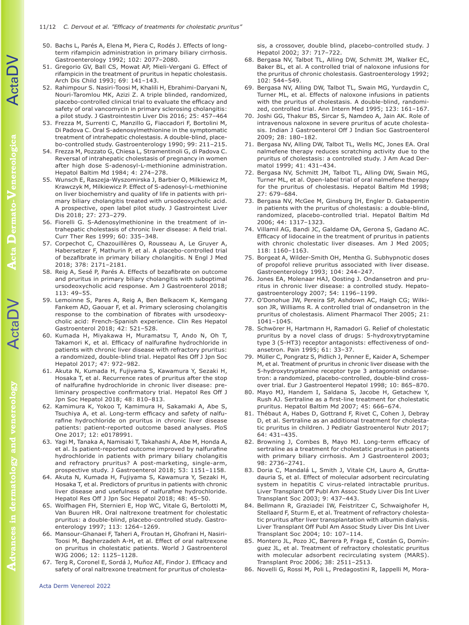**Advances in dermatology and venereology**

dermatology and

vances in

venereology

- 50. Bachs L, Parés A, Elena M, Piera C, Rodés J. Effects of longterm rifampicin administration in primary biliary cirrhosis. Gastroenterology 1992; 102: 2077–2080.
- 51. Gregorio GV, Ball CS, Mowat AP, Mieli-Vergani G. Effect of rifampicin in the treatment of pruritus in hepatic cholestasis. Arch Dis Child 1993; 69: 141–143.
- 52. Rahimpour S. Nasiri-Toosi M, Khalili H, Ebrahimi-Daryani N, Nouri-Taromlou MK, Azizi Z. A triple blinded, randomized, placebo-controlled clinical trial to evaluate the efficacy and safety of oral vancomycin in primary sclerosing cholangitis: a pilot study. J Gastrointestin Liver Dis 2016; 25: 457–464
- 53. Frezza M, Surrenti C, Manzillo G, Fiaccadori F, Bortolini M, Di Padova C. Oral S-adenosylmethionine in the symptomatic treatment of intrahepatic cholestasis. A double-blind, placebo-controlled study. Gastroenterology 1990; 99: 211–215.
- 54. Frezza M, Pozzato G, Chiesa L, Stramentinoli G, di Padova C. Reversal of intrahepatic cholestasis of pregnancy in women after high dose S-adenosyl-L-methionine administration. Hepatol Baltim Md 1984; 4: 274–278.
- 55. Wunsch E, Raszeja-Wyszomirska J, Barbier O, Milkiewicz M, Krawczyk M, Milkiewicz P. Effect of S-adenosyl-L-methionine on liver biochemistry and quality of life in patients with primary biliary cholangitis treated with ursodeoxycholic acid. A prospective, open label pilot study. J Gastrointest Liver Dis 2018; 27: 273–279.
- 56. Fiorelli G. S-Adenosylmethionine in the treatment of intrahepatic cholestasis of chronic liver disease: A field trial. Curr Ther Res 1999; 60: 335–348.
- 57. Corpechot C, Chazouillères O, Rousseau A, Le Gruyer A, Habersetzer F, Mathurin P, et al. A placebo-controlled trial of bezafibrate in primary biliary cholangitis. N Engl J Med 2018; 378: 2171–2181.
- 58. Reig A, Sesé P, Parés A. Effects of bezafibrate on outcome and pruritus in primary biliary cholangitis with suboptimal ursodeoxycholic acid response. Am J Gastroenterol 2018; 113: 49–55.
- 59. Lemoinne S, Pares A, Reig A, Ben Belkacem K, Kemgang Fankem AD, Gaouar F, et al. Primary sclerosing cholangitis response to the combination of fibrates with ursodeoxycholic acid: French-Spanish experience. Clin Res Hepatol Gastroenterol 2018; 42: 521–528.
- 60. Kumada H, Miyakawa H, Muramatsu T, Ando N, Oh T, Takamori K, et al. Efficacy of nalfurafine hydrochloride in patients with chronic liver disease with refractory pruritus: a randomized, double-blind trial. Hepatol Res Off J Jpn Soc Hepatol 2017; 47: 972–982.
- 61. Akuta N, Kumada H, Fujiyama S, Kawamura Y, Sezaki H, Hosaka T, et al. Recurrence rates of pruritus after the stop of nalfurafine hydrochloride in chronic liver disease: preliminary prospective confirmatory trial. Hepatol Res Off J Jpn Soc Hepatol 2018; 48: 810–813.
- 62. Kamimura K, Yokoo T, Kamimura H, Sakamaki A, Abe S, Tsuchiya A, et al. Long-term efficacy and safety of nalfurafine hydrochloride on pruritus in chronic liver disease patients: patient-reported outcome based analyses. PloS One 2017; 12: e0178991.
- 63. Yagi M, Tanaka A, Namisaki T, Takahashi A, Abe M, Honda A, et al. Is patient-reported outcome improved by nalfurafine hydrochloride in patients with primary biliary cholangitis and refractory pruritus? A post-marketing, single-arm, prospective study. J Gastroenterol 2018; 53: 1151–1158.
- 64. Akuta N, Kumada H, Fujiyama S, Kawamura Y, Sezaki H, Hosaka T, et al. Predictors of pruritus in patients with chronic liver disease and usefulness of nalfurafine hydrochloride. Hepatol Res Off J Jpn Soc Hepatol 2018; 48: 45–50.
- 65. Wolfhagen FH, Sternieri E, Hop WC, Vitale G, Bertolotti M, Van Buuren HR. Oral naltrexone treatment for cholestatic pruritus: a double-blind, placebo-controlled study. Gastroenterology 1997; 113: 1264–1269.
- 66. Mansour-Ghanaei F, Taheri A, Froutan H, Ghofrani H, Nasiri-Toosi M, Bagherzadeh A-H, et al. Effect of oral naltrexone on pruritus in cholestatic patients. World J Gastroenterol WJG 2006; 12: 1125–1128.
- 67. Terg R, Coronel E, Sordá J, Muñoz AE, Findor J. Efficacy and safety of oral naltrexone treatment for pruritus of cholesta-

sis, a crossover, double blind, placebo-controlled study. J Hepatol 2002; 37: 717–722.

- 68. Bergasa NV, Talbot TL, Alling DW, Schmitt JM, Walker EC, Baker BL, et al. A controlled trial of naloxone infusions for the pruritus of chronic cholestasis. Gastroenterology 1992; 102: 544–549.
- 69. Bergasa NV, Alling DW, Talbot TL, Swain MG, Yurdaydin C, Turner ML, et al. Effects of naloxone infusions in patients with the pruritus of cholestasis. A double-blind, randomized, controlled trial. Ann Intern Med 1995; 123: 161–167.
- 70. Joshi GG, Thakur BS, Sircar S, Namdeo A, Jain AK. Role of intravenous naloxone in severe pruritus of acute cholestasis. Indian J Gastroenterol Off J Indian Soc Gastroenterol 2009; 28: 180–182.
- 71. Bergasa NV, Alling DW, Talbot TL, Wells MC, Jones EA. Oral nalmefene therapy reduces scratching activity due to the pruritus of cholestasis: a controlled study. J Am Acad Dermatol 1999; 41: 431–434.
- 72. Bergasa NV, Schmitt JM, Talbot TL, Alling DW, Swain MG, Turner ML, et al. Open-label trial of oral nalmefene therapy for the pruritus of cholestasis. Hepatol Baltim Md 1998; 27: 679–684.
- 73. Bergasa NV, McGee M, Ginsburg IH, Engler D. Gabapentin in patients with the pruritus of cholestasis: a double-blind, randomized, placebo-controlled trial. Hepatol Baltim Md 2006; 44: 1317–1323.
- 74. Villamil AG, Bandi JC, Galdame OA, Gerona S, Gadano AC. Efficacy of lidocaine in the treatment of pruritus in patients with chronic cholestatic liver diseases. Am J Med 2005; 118: 1160–1163.
- 75. Borgeat A, Wilder-Smith OH, Mentha G. Subhypnotic doses of propofol relieve pruritus associated with liver disease. Gastroenterology 1993; 104: 244–247.
- 76. Jones EA, Molenaar HAJ, Oosting J. Ondansetron and pruritus in chronic liver disease: a controlled study. Hepatogastroenterology 2007; 54: 1196–1199.
- 77. O'Donohue JW, Pereira SP, Ashdown AC, Haigh CG; Wilkison JR, Williams R. A controlled trial of ondansetron in the pruritus of cholestasis. Aliment Pharmacol Ther 2005; 21: 1041–1045.
- 78. Schwörer H, Hartmann H, Ramadori G. Relief of cholestatic pruritus by a novel class of drugs: 5-hydroxytryptamine type 3 (5-HT3) receptor antagonists: effectiveness of ondansetron. Pain 1995; 61: 33–37.
- 79. Müller C, Pongratz S, Pidlich J, Penner E, Kaider A, Schemper M, et al. Treatment of pruritus in chronic liver disease with the 5-hydroxytryptamine receptor type 3 antagonist ondansetron: a randomized, placebo-controlled, double-blind crossover trial. Eur J Gastroenterol Hepatol 1998; 10: 865–870.
- 80. Mayo MJ, Handem I, Saldana S, Jacobe H, Getachew Y, Rush AJ. Sertraline as a first-line treatment for cholestatic pruritus. Hepatol Baltim Md 2007; 45: 666–674.
- 81. Thébaut A, Habes D, Gottrand F, Rivet C, Cohen J, Debray D, et al. Sertraline as an additional treatment for cholestatic pruritus in children. J Pediatr Gastroenterol Nutr 2017; 64: 431–435.
- 82. Browning J, Combes B, Mayo MJ. Long-term efficacy of sertraline as a treatment for cholestatic pruritus in patients with primary biliary cirrhosis. Am J Gastroenterol 2003; 98: 2736–2741.
- 83. Doria C, Mandalá L, Smith J, Vitale CH, Lauro A, Gruttadauria S, et al. Effect of molecular adsorbent recirculating system in hepatitis C virus-related intractable pruritus. Liver Transplant Off Publ Am Assoc Study Liver Dis Int Liver Transplant Soc 2003; 9: 437–443.
- 84. Bellmann R, Graziadei IW, Feistritzer C, Schwaighofer H, Stellaard F, Sturm E, et al. Treatment of refractory cholestatic pruritus after liver transplantation with albumin dialysis. Liver Transplant Off Publ Am Assoc Study Liver Dis Int Liver Transplant Soc 2004; 10: 107–114.
- 85. Montero JL, Pozo JC, Barrera P, Fraga E, Costán G, Domínguez JL, et al. Treatment of refractory cholestatic pruritus with molecular adsorbent recirculating system (MARS). Transplant Proc 2006; 38: 2511–2513.
- 86. Novelli G, Rossi M, Poli L, Predagostini R, Iappelli M, Mora-